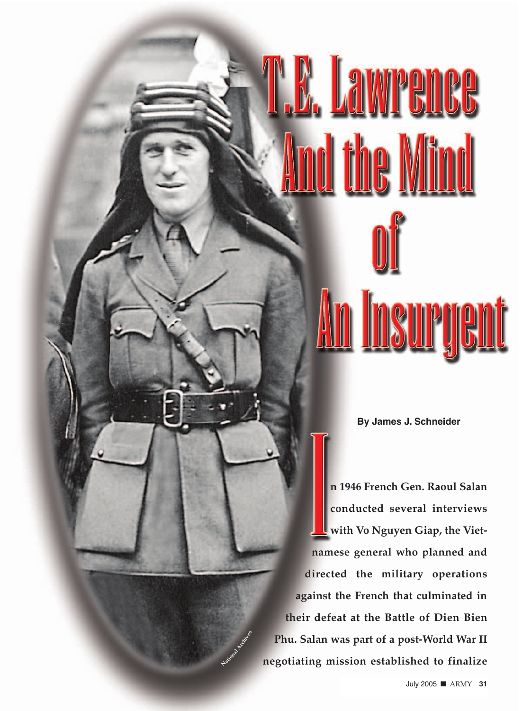## **M. Lawren**

**By James J. Schneider**

**n 1946 French Gen. Raoul Salan conducted several interviews with Vo Nguyen Giap, the Vietnamese general who planned and directed the military operations against the French that culminated in their defeat at the Battle of Dien Bien Phu. Salan was part of a post-World War II negotiating mission established to finalize**

**National Archives**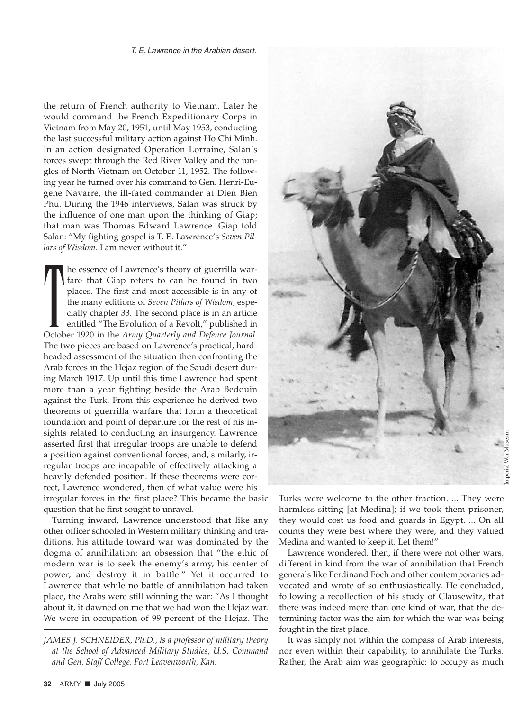the return of French authority to Vietnam. Later he would command the French Expeditionary Corps in Vietnam from May 20, 1951, until May 1953, conducting the last successful military action against Ho Chi Minh. In an action designated Operation Lorraine, Salan's forces swept through the Red River Valley and the jungles of North Vietnam on October 11, 1952. The following year he turned over his command to Gen. Henri-Eugene Navarre, the ill-fated commander at Dien Bien Phu. During the 1946 interviews, Salan was struck by the influence of one man upon the thinking of Giap; that man was Thomas Edward Lawrence. Giap told Salan: "My fighting gospel is T. E. Lawrence's *Seven Pillars of Wisdom*. I am never without it."

The essence of Lawrence's theory of guerrilla war-<br>fare that Giap refers to can be found in two<br>places. The first and most accessible is in any of<br>the many editions of *Seven Pillars of Wisdom*, espe-<br>cially chapter 33. Th he essence of Lawrence's theory of guerrilla warfare that Giap refers to can be found in two places. The first and most accessible is in any of the many editions of *Seven Pillars of Wisdom*, especially chapter 33. The second place is in an article entitled "The Evolution of a Revolt," published in The two pieces are based on Lawrence's practical, hardheaded assessment of the situation then confronting the Arab forces in the Hejaz region of the Saudi desert during March 1917. Up until this time Lawrence had spent more than a year fighting beside the Arab Bedouin against the Turk. From this experience he derived two theorems of guerrilla warfare that form a theoretical foundation and point of departure for the rest of his insights related to conducting an insurgency. Lawrence asserted first that irregular troops are unable to defend a position against conventional forces; and, similarly, irregular troops are incapable of effectively attacking a heavily defended position. If these theorems were correct, Lawrence wondered, then of what value were his irregular forces in the first place? This became the basic question that he first sought to unravel.

Turning inward, Lawrence understood that like any other officer schooled in Western military thinking and traditions, his attitude toward war was dominated by the dogma of annihilation: an obsession that "the ethic of modern war is to seek the enemy's army, his center of power, and destroy it in battle." Yet it occurred to Lawrence that while no battle of annihilation had taken place, the Arabs were still winning the war: "As I thought about it, it dawned on me that we had won the Hejaz war. We were in occupation of 99 percent of the Hejaz. The



Turks were welcome to the other fraction. ... They were harmless sitting [at Medina]; if we took them prisoner, they would cost us food and guards in Egypt. ... On all counts they were best where they were, and they valued Medina and wanted to keep it. Let them!"

Lawrence wondered, then, if there were not other wars, different in kind from the war of annihilation that French generals like Ferdinand Foch and other contemporaries advocated and wrote of so enthusiastically. He concluded, following a recollection of his study of Clausewitz, that there was indeed more than one kind of war, that the determining factor was the aim for which the war was being fought in the first place.

It was simply not within the compass of Arab interests, nor even within their capability, to annihilate the Turks. Rather, the Arab aim was geographic: to occupy as much

*JAMES J. SCHNEIDER, Ph.D., is a professor of military theory at the School of Advanced Military Studies, U.S. Command and Gen. Staff College, Fort Leavenworth, Kan.*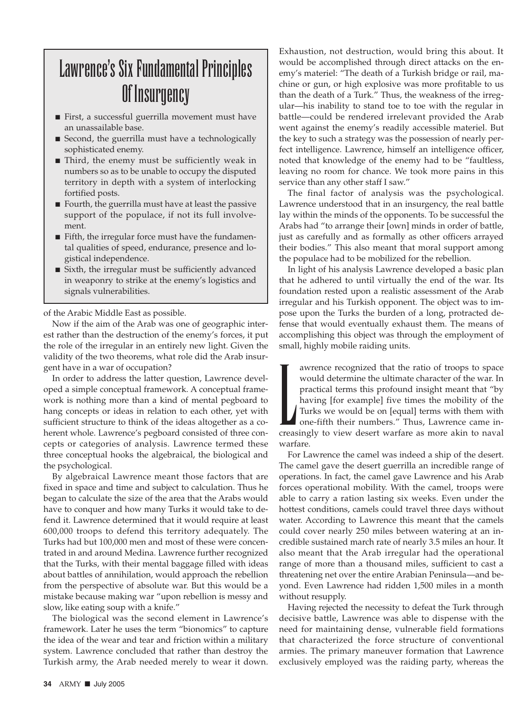## Lawrence's Six Fundamental Principles Of Insurgency

- First, a successful guerrilla movement must have an unassailable base.
- Second, the guerrilla must have a technologically sophisticated enemy.
- Third, the enemy must be sufficiently weak in numbers so as to be unable to occupy the disputed territory in depth with a system of interlocking fortified posts.
- Fourth, the guerrilla must have at least the passive support of the populace, if not its full involvement.
- Fifth, the irregular force must have the fundamental qualities of speed, endurance, presence and logistical independence.
- Sixth, the irregular must be sufficiently advanced in weaponry to strike at the enemy's logistics and signals vulnerabilities.

of the Arabic Middle East as possible.

Now if the aim of the Arab was one of geographic interest rather than the destruction of the enemy's forces, it put the role of the irregular in an entirely new light. Given the validity of the two theorems, what role did the Arab insurgent have in a war of occupation?

In order to address the latter question, Lawrence developed a simple conceptual framework. A conceptual framework is nothing more than a kind of mental pegboard to hang concepts or ideas in relation to each other, yet with sufficient structure to think of the ideas altogether as a coherent whole. Lawrence's pegboard consisted of three concepts or categories of analysis. Lawrence termed these three conceptual hooks the algebraical, the biological and the psychological.

By algebraical Lawrence meant those factors that are fixed in space and time and subject to calculation. Thus he began to calculate the size of the area that the Arabs would have to conquer and how many Turks it would take to defend it. Lawrence determined that it would require at least 600,000 troops to defend this territory adequately. The Turks had but 100,000 men and most of these were concentrated in and around Medina. Lawrence further recognized that the Turks, with their mental baggage filled with ideas about battles of annihilation, would approach the rebellion from the perspective of absolute war. But this would be a mistake because making war "upon rebellion is messy and slow, like eating soup with a knife."

The biological was the second element in Lawrence's framework. Later he uses the term "bionomics" to capture the idea of the wear and tear and friction within a military system. Lawrence concluded that rather than destroy the Turkish army, the Arab needed merely to wear it down.

Exhaustion, not destruction, would bring this about. It would be accomplished through direct attacks on the enemy's materiel: "The death of a Turkish bridge or rail, machine or gun, or high explosive was more profitable to us than the death of a Turk." Thus, the weakness of the irregular—his inability to stand toe to toe with the regular in battle—could be rendered irrelevant provided the Arab went against the enemy's readily accessible materiel. But the key to such a strategy was the possession of nearly perfect intelligence. Lawrence, himself an intelligence officer, noted that knowledge of the enemy had to be "faultless, leaving no room for chance. We took more pains in this service than any other staff I saw."

The final factor of analysis was the psychological. Lawrence understood that in an insurgency, the real battle lay within the minds of the opponents. To be successful the Arabs had "to arrange their [own] minds in order of battle, just as carefully and as formally as other officers arrayed their bodies." This also meant that moral support among the populace had to be mobilized for the rebellion.

In light of his analysis Lawrence developed a basic plan that he adhered to until virtually the end of the war. Its foundation rested upon a realistic assessment of the Arab irregular and his Turkish opponent. The object was to impose upon the Turks the burden of a long, protracted defense that would eventually exhaust them. The means of accomplishing this object was through the employment of small, highly mobile raiding units.

It all the ratio of troops to space would determine the ultimate character of the war. In practical terms this profound insight meant that "by having [for example] five times the mobility of the Turks we would be on [equal awrence recognized that the ratio of troops to space would determine the ultimate character of the war. In practical terms this profound insight meant that "by having [for example] five times the mobility of the Turks we would be on [equal] terms with them with one-fifth their numbers." Thus, Lawrence came inwarfare.

For Lawrence the camel was indeed a ship of the desert. The camel gave the desert guerrilla an incredible range of operations. In fact, the camel gave Lawrence and his Arab forces operational mobility. With the camel, troops were able to carry a ration lasting six weeks. Even under the hottest conditions, camels could travel three days without water. According to Lawrence this meant that the camels could cover nearly 250 miles between watering at an incredible sustained march rate of nearly 3.5 miles an hour. It also meant that the Arab irregular had the operational range of more than a thousand miles, sufficient to cast a threatening net over the entire Arabian Peninsula—and beyond. Even Lawrence had ridden 1,500 miles in a month without resupply.

Having rejected the necessity to defeat the Turk through decisive battle, Lawrence was able to dispense with the need for maintaining dense, vulnerable field formations that characterized the force structure of conventional armies. The primary maneuver formation that Lawrence exclusively employed was the raiding party, whereas the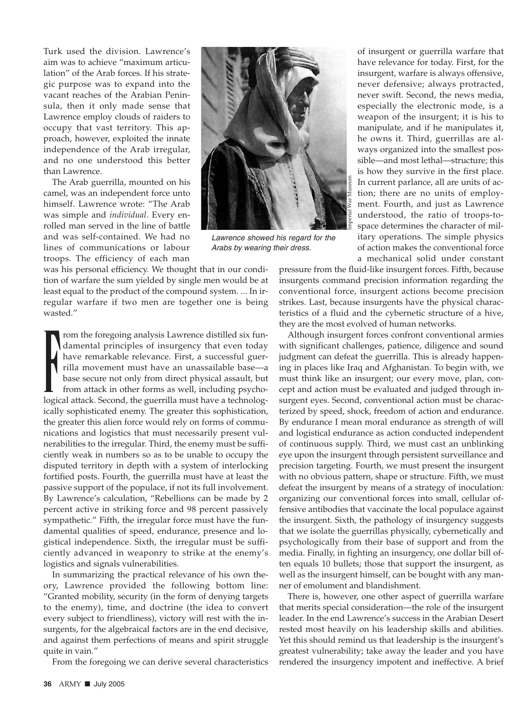Turk used the division. Lawrence's aim was to achieve "maximum articulation" of the Arab forces. If his strategic purpose was to expand into the vacant reaches of the Arabian Peninsula, then it only made sense that Lawrence employ clouds of raiders to occupy that vast territory. This approach, however, exploited the innate independence of the Arab irregular, and no one understood this better than Lawrence.

The Arab guerrilla, mounted on his camel, was an independent force unto himself. Lawrence wrote: "The Arab was simple and *individual*. Every enrolled man served in the line of battle and was self-contained. We had no lines of communications or labour troops. The efficiency of each man



Lawrence showed his regard for the Arabs by wearing their dress.

was his personal efficiency. We thought that in our condition of warfare the sum yielded by single men would be at least equal to the product of the compound system. ... In irregular warfare if two men are together one is being wasted."

Frame the foregoing analysis Lawrence distilled six fundamental principles of insurgency that even today have remarkable relevance. First, a successful guerrilla movement must have an unassailable base—a base secure not on rom the foregoing analysis Lawrence distilled six fundamental principles of insurgency that even today have remarkable relevance. First, a successful guerrilla movement must have an unassailable base—a base secure not only from direct physical assault, but from attack in other forms as well, including psychoically sophisticated enemy. The greater this sophistication, the greater this alien force would rely on forms of communications and logistics that must necessarily present vulnerabilities to the irregular. Third, the enemy must be sufficiently weak in numbers so as to be unable to occupy the disputed territory in depth with a system of interlocking fortified posts. Fourth, the guerrilla must have at least the passive support of the populace, if not its full involvement. By Lawrence's calculation, "Rebellions can be made by 2 percent active in striking force and 98 percent passively sympathetic." Fifth, the irregular force must have the fundamental qualities of speed, endurance, presence and logistical independence. Sixth, the irregular must be sufficiently advanced in weaponry to strike at the enemy's logistics and signals vulnerabilities.

In summarizing the practical relevance of his own theory, Lawrence provided the following bottom line: "Granted mobility, security (in the form of denying targets to the enemy), time, and doctrine (the idea to convert every subject to friendliness), victory will rest with the insurgents, for the algebraical factors are in the end decisive, and against them perfections of means and spirit struggle quite in vain."

From the foregoing we can derive several characteristics

of insurgent or guerrilla warfare that have relevance for today. First, for the insurgent, warfare is always offensive, never defensive; always protracted, never swift. Second, the news media, especially the electronic mode, is a weapon of the insurgent; it is his to manipulate, and if he manipulates it, he owns it. Third, guerrillas are always organized into the smallest possible—and most lethal—structure; this is how they survive in the first place. In current parlance, all are units of action; there are no units of employment. Fourth, and just as Lawrence understood, the ratio of troops-tospace determines the character of military operations. The simple physics of action makes the conventional force a mechanical solid under constant

pressure from the fluid-like insurgent forces. Fifth, because insurgents command precision information regarding the conventional force, insurgent actions become precision strikes. Last, because insurgents have the physical characteristics of a fluid and the cybernetic structure of a hive, they are the most evolved of human networks.

Although insurgent forces confront conventional armies with significant challenges, patience, diligence and sound judgment can defeat the guerrilla. This is already happening in places like Iraq and Afghanistan. To begin with, we must think like an insurgent; our every move, plan, concept and action must be evaluated and judged through insurgent eyes. Second, conventional action must be characterized by speed, shock, freedom of action and endurance. By endurance I mean moral endurance as strength of will and logistical endurance as action conducted independent of continuous supply. Third, we must cast an unblinking eye upon the insurgent through persistent surveillance and precision targeting. Fourth, we must present the insurgent with no obvious pattern, shape or structure. Fifth, we must defeat the insurgent by means of a strategy of inoculation: organizing our conventional forces into small, cellular offensive antibodies that vaccinate the local populace against the insurgent. Sixth, the pathology of insurgency suggests that we isolate the guerrillas physically, cybernetically and psychologically from their base of support and from the media. Finally, in fighting an insurgency, one dollar bill often equals 10 bullets; those that support the insurgent, as well as the insurgent himself, can be bought with any manner of emolument and blandishment.

There is, however, one other aspect of guerrilla warfare that merits special consideration—the role of the insurgent leader. In the end Lawrence's success in the Arabian Desert rested most heavily on his leadership skills and abilities. Yet this should remind us that leadership is the insurgent's greatest vulnerability; take away the leader and you have rendered the insurgency impotent and ineffective. A brief